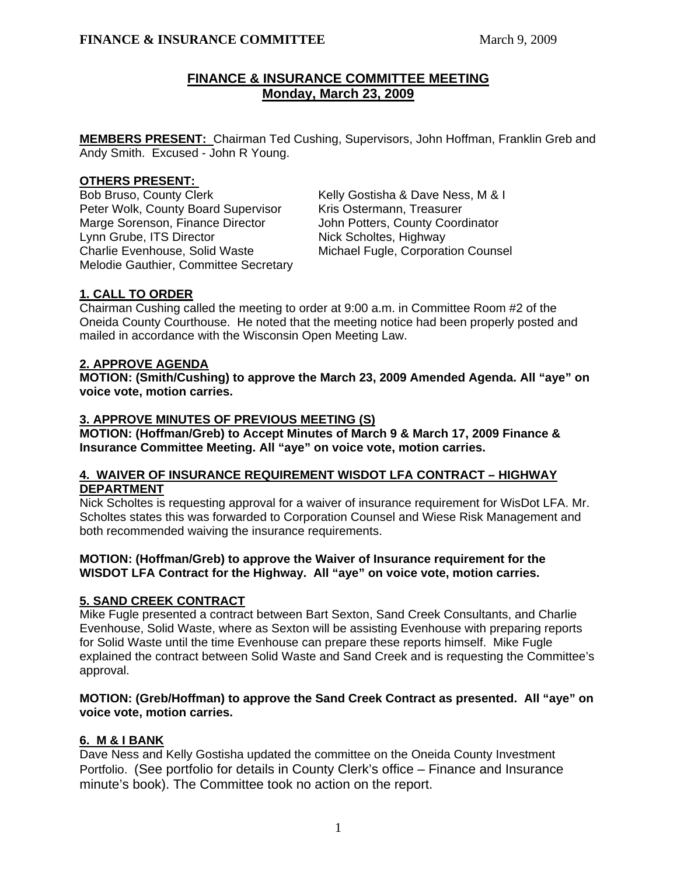# **FINANCE & INSURANCE COMMITTEE MEETING Monday, March 23, 2009**

**MEMBERS PRESENT:** Chairman Ted Cushing, Supervisors, John Hoffman, Franklin Greb and Andy Smith. Excused - John R Young.

**OTHERS PRESENT:**<br>Bob Bruso, County Clerk Peter Wolk, County Board Supervisor Marge Sorenson, Finance Director John Potters, County Coordinator Lynn Grube, ITS Director Nick Scholtes, Highway Charlie Evenhouse, Solid Waste Michael Fugle, Corporation Counsel Melodie Gauthier, Committee Secretary

Kelly Gostisha & Dave Ness, M & I<br>Kris Ostermann. Treasurer

# **1. CALL TO ORDER**

Chairman Cushing called the meeting to order at 9:00 a.m. in Committee Room #2 of the Oneida County Courthouse. He noted that the meeting notice had been properly posted and mailed in accordance with the Wisconsin Open Meeting Law.

# **2. APPROVE AGENDA**

**MOTION: (Smith/Cushing) to approve the March 23, 2009 Amended Agenda. All "aye" on voice vote, motion carries.** 

# **3. APPROVE MINUTES OF PREVIOUS MEETING (S)**

**MOTION: (Hoffman/Greb) to Accept Minutes of March 9 & March 17, 2009 Finance & Insurance Committee Meeting. All "aye" on voice vote, motion carries.** 

# **4. WAIVER OF INSURANCE REQUIREMENT WISDOT LFA CONTRACT – HIGHWAY DEPARTMENT**

Nick Scholtes is requesting approval for a waiver of insurance requirement for WisDot LFA. Mr. Scholtes states this was forwarded to Corporation Counsel and Wiese Risk Management and both recommended waiving the insurance requirements.

## **MOTION: (Hoffman/Greb) to approve the Waiver of Insurance requirement for the WISDOT LFA Contract for the Highway. All "aye" on voice vote, motion carries.**

# **5. SAND CREEK CONTRACT**

 Mike Fugle presented a contract between Bart Sexton, Sand Creek Consultants, and Charlie Evenhouse, Solid Waste, where as Sexton will be assisting Evenhouse with preparing reports for Solid Waste until the time Evenhouse can prepare these reports himself. Mike Fugle explained the contract between Solid Waste and Sand Creek and is requesting the Committee's approval.

# **MOTION: (Greb/Hoffman) to approve the Sand Creek Contract as presented. All "aye" on voice vote, motion carries.**

# **6. M & I BANK**

Dave Ness and Kelly Gostisha updated the committee on the Oneida County Investment Portfolio. (See portfolio for details in County Clerk's office – Finance and Insurance minute's book). The Committee took no action on the report.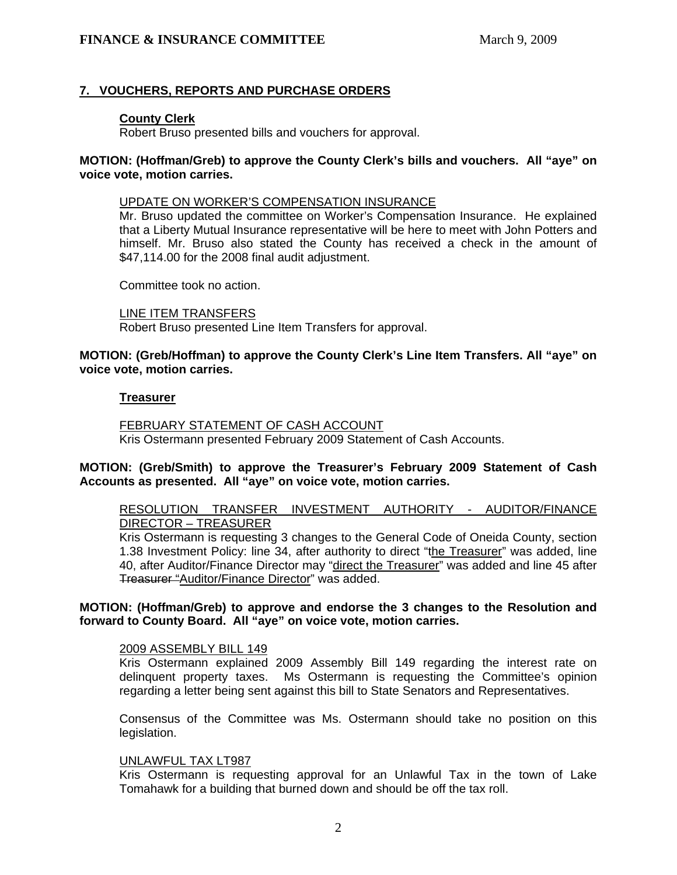## **FINANCE & INSURANCE COMMITTEE** March 9, 2009

# **7. VOUCHERS, REPORTS AND PURCHASE ORDERS**

## **County Clerk**

Robert Bruso presented bills and vouchers for approval.

### **MOTION: (Hoffman/Greb) to approve the County Clerk's bills and vouchers. All "aye" on voice vote, motion carries.**

#### UPDATE ON WORKER'S COMPENSATION INSURANCE

Mr. Bruso updated the committee on Worker's Compensation Insurance. He explained that a Liberty Mutual Insurance representative will be here to meet with John Potters and himself. Mr. Bruso also stated the County has received a check in the amount of \$47,114.00 for the 2008 final audit adjustment.

Committee took no action.

 LINE ITEM TRANSFERS Robert Bruso presented Line Item Transfers for approval.

### **MOTION: (Greb/Hoffman) to approve the County Clerk's Line Item Transfers. All "aye" on voice vote, motion carries.**

#### **Treasurer**

### FEBRUARY STATEMENT OF CASH ACCOUNT Kris Ostermann presented February 2009 Statement of Cash Accounts.

**MOTION: (Greb/Smith) to approve the Treasurer's February 2009 Statement of Cash Accounts as presented. All "aye" on voice vote, motion carries.**

RESOLUTION TRANSFER INVESTMENT AUTHORITY - AUDITOR/FINANCE DIRECTOR – TREASURER

Kris Ostermann is requesting 3 changes to the General Code of Oneida County, section 1.38 Investment Policy: line 34, after authority to direct "the Treasurer" was added, line 40, after Auditor/Finance Director may "direct the Treasurer" was added and line 45 after Treasurer "Auditor/Finance Director" was added.

#### **MOTION: (Hoffman/Greb) to approve and endorse the 3 changes to the Resolution and forward to County Board. All "aye" on voice vote, motion carries.**

#### 2009 ASSEMBLY BILL 149

Kris Ostermann explained 2009 Assembly Bill 149 regarding the interest rate on delinquent property taxes. Ms Ostermann is requesting the Committee's opinion regarding a letter being sent against this bill to State Senators and Representatives.

Consensus of the Committee was Ms. Ostermann should take no position on this legislation.

#### UNLAWFUL TAX LT987

Kris Ostermann is requesting approval for an Unlawful Tax in the town of Lake Tomahawk for a building that burned down and should be off the tax roll.